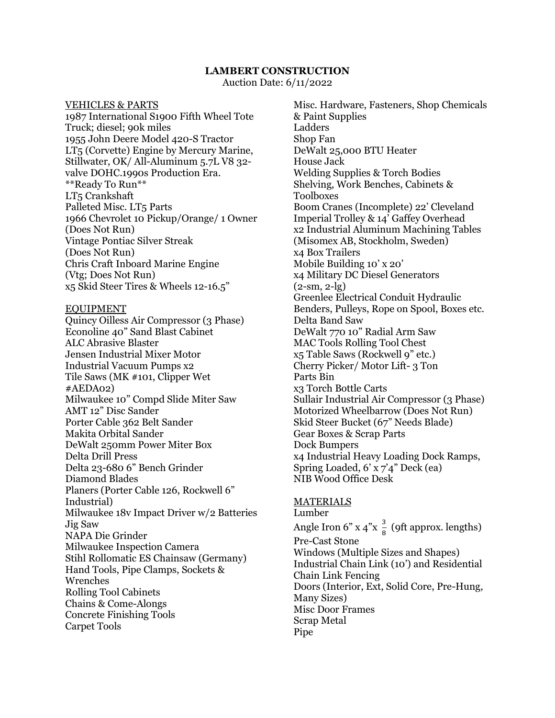## **LAMBERT CONSTRUCTION**

Auction Date: 6/11/2022

VEHICLES & PARTS 1987 International S1900 Fifth Wheel Tote Truck; diesel; 90k miles 1955 John Deere Model 420-S Tractor LT5 (Corvette) Engine by Mercury Marine, Stillwater, OK/ All-Aluminum 5.7L V8 32 valve DOHC.1990s Production Era. \*\*Ready To Run\*\* LT5 Crankshaft Palleted Misc. LT<sub>5</sub> Parts 1966 Chevrolet 10 Pickup/Orange/ 1 Owner (Does Not Run) Vintage Pontiac Silver Streak (Does Not Run) Chris Craft Inboard Marine Engine (Vtg; Does Not Run) x5 Skid Steer Tires & Wheels 12-16.5"

## EQUIPMENT

Quincy Oilless Air Compressor (3 Phase) Econoline 40" Sand Blast Cabinet ALC Abrasive Blaster Jensen Industrial Mixer Motor Industrial Vacuum Pumps x2 Tile Saws (MK #101, Clipper Wet #AEDA02) Milwaukee 10" Compd Slide Miter Saw AMT 12" Disc Sander Porter Cable 362 Belt Sander Makita Orbital Sander DeWalt 250mm Power Miter Box Delta Drill Press Delta 23-680 6" Bench Grinder Diamond Blades Planers (Porter Cable 126, Rockwell 6" Industrial) Milwaukee 18v Impact Driver w/2 Batteries Jig Saw NAPA Die Grinder Milwaukee Inspection Camera Stihl Rollomatic ES Chainsaw (Germany) Hand Tools, Pipe Clamps, Sockets & Wrenches Rolling Tool Cabinets Chains & Come-Alongs Concrete Finishing Tools Carpet Tools

Misc. Hardware, Fasteners, Shop Chemicals & Paint Supplies Ladders Shop Fan DeWalt 25,000 BTU Heater House Jack Welding Supplies & Torch Bodies Shelving, Work Benches, Cabinets & Toolboxes Boom Cranes (Incomplete) 22' Cleveland Imperial Trolley & 14' Gaffey Overhead x2 Industrial Aluminum Machining Tables (Misomex AB, Stockholm, Sweden) x4 Box Trailers Mobile Building 10' x 20' x4 Military DC Diesel Generators  $(2 - sm, 2 - lg)$ Greenlee Electrical Conduit Hydraulic Benders, Pulleys, Rope on Spool, Boxes etc. Delta Band Saw DeWalt 770 10" Radial Arm Saw MAC Tools Rolling Tool Chest x5 Table Saws (Rockwell 9" etc.) Cherry Picker/ Motor Lift- 3 Ton Parts Bin x3 Torch Bottle Carts Sullair Industrial Air Compressor (3 Phase) Motorized Wheelbarrow (Does Not Run) Skid Steer Bucket (67" Needs Blade) Gear Boxes & Scrap Parts Dock Bumpers x4 Industrial Heavy Loading Dock Ramps, Spring Loaded, 6' x 7'4" Deck (ea) NIB Wood Office Desk

## MATERIALS

Lumber Angle Iron 6" x 4"x  $\frac{3}{8}$  (9ft approx. lengths) Pre-Cast Stone Windows (Multiple Sizes and Shapes) Industrial Chain Link (10') and Residential Chain Link Fencing Doors (Interior, Ext, Solid Core, Pre-Hung, Many Sizes) Misc Door Frames Scrap Metal Pipe